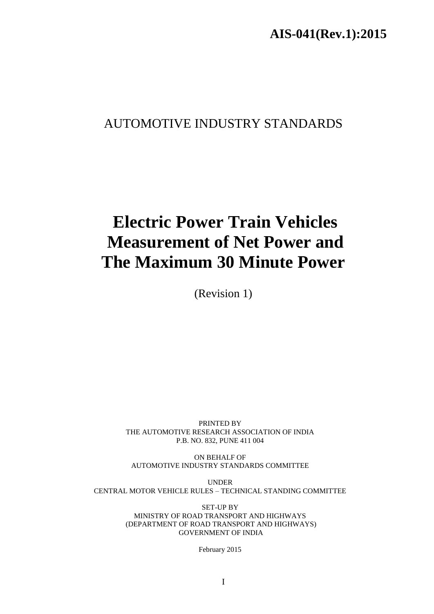# AUTOMOTIVE INDUSTRY STANDARDS

# **Electric Power Train Vehicles Measurement of Net Power and The Maximum 30 Minute Power**

(Revision 1)

PRINTED BY THE AUTOMOTIVE RESEARCH ASSOCIATION OF INDIA P.B. NO. 832, PUNE 411 004

ON BEHALF OF AUTOMOTIVE INDUSTRY STANDARDS COMMITTEE

UNDER CENTRAL MOTOR VEHICLE RULES – TECHNICAL STANDING COMMITTEE

> SET-UP BY MINISTRY OF ROAD TRANSPORT AND HIGHWAYS (DEPARTMENT OF ROAD TRANSPORT AND HIGHWAYS) GOVERNMENT OF INDIA

> > February 2015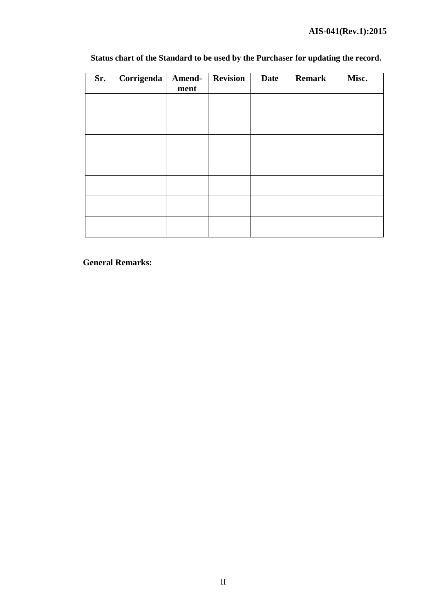| Sr. | Corrigenda | Amend-<br>ment | <b>Revision</b> | Date | <b>Remark</b> | Misc. |
|-----|------------|----------------|-----------------|------|---------------|-------|
|     |            |                |                 |      |               |       |
|     |            |                |                 |      |               |       |
|     |            |                |                 |      |               |       |
|     |            |                |                 |      |               |       |
|     |            |                |                 |      |               |       |
|     |            |                |                 |      |               |       |
|     |            |                |                 |      |               |       |

# **Status chart of the Standard to be used by the Purchaser for updating the record.**

 **General Remarks:**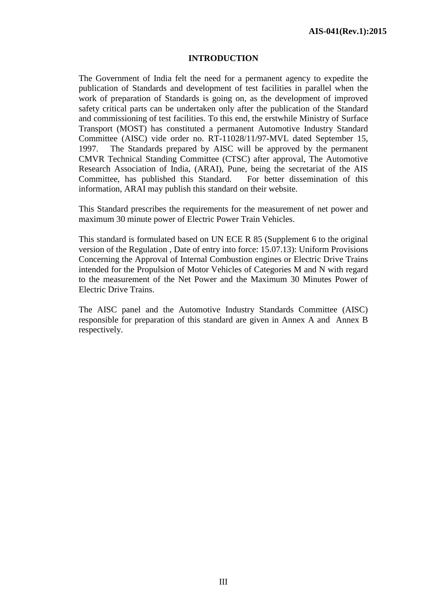#### **INTRODUCTION**

The Government of India felt the need for a permanent agency to expedite the publication of Standards and development of test facilities in parallel when the work of preparation of Standards is going on, as the development of improved safety critical parts can be undertaken only after the publication of the Standard and commissioning of test facilities. To this end, the erstwhile Ministry of Surface Transport (MOST) has constituted a permanent Automotive Industry Standard Committee (AISC) vide order no. RT-11028/11/97-MVL dated September 15, 1997. The Standards prepared by AISC will be approved by the permanent CMVR Technical Standing Committee (CTSC) after approval, The Automotive Research Association of India, (ARAI), Pune, being the secretariat of the AIS Committee, has published this Standard. For better dissemination of this information, ARAI may publish this standard on their website.

This Standard prescribes the requirements for the measurement of net power and maximum 30 minute power of Electric Power Train Vehicles.

This standard is formulated based on UN ECE R 85 (Supplement 6 to the original version of the Regulation , Date of entry into force: 15.07.13): Uniform Provisions Concerning the Approval of Internal Combustion engines or Electric Drive Trains intended for the Propulsion of Motor Vehicles of Categories M and N with regard to the measurement of the Net Power and the Maximum 30 Minutes Power of Electric Drive Trains.

The AISC panel and the Automotive Industry Standards Committee (AISC) responsible for preparation of this standard are given in Annex A and Annex B respectively.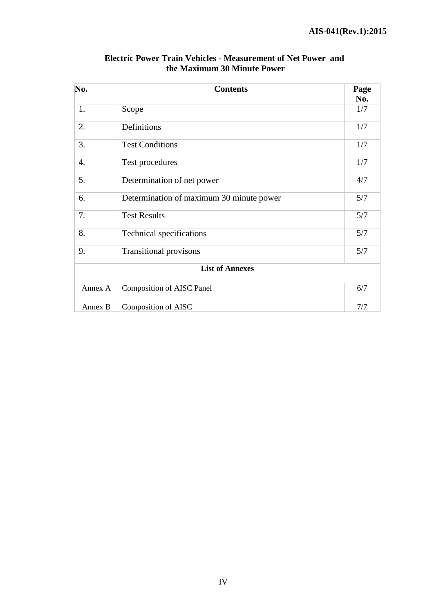| No.     | <b>Contents</b>                          |     |
|---------|------------------------------------------|-----|
|         |                                          | No. |
| 1.      | Scope                                    | 1/7 |
| 2.      | Definitions                              | 1/7 |
| 3.      | <b>Test Conditions</b>                   | 1/7 |
| 4.      | Test procedures                          | 1/7 |
| 5.      | Determination of net power               | 4/7 |
| 6.      | Determination of maximum 30 minute power | 5/7 |
| 7.      | <b>Test Results</b>                      | 5/7 |
| 8.      | Technical specifications                 | 5/7 |
| 9.      | <b>Transitional provisons</b>            | 5/7 |
|         | <b>List of Annexes</b>                   |     |
| Annex A | <b>Composition of AISC Panel</b>         | 6/7 |
| Annex B | Composition of AISC                      | 7/7 |

### **Electric Power Train Vehicles - Measurement of Net Power and the Maximum 30 Minute Power**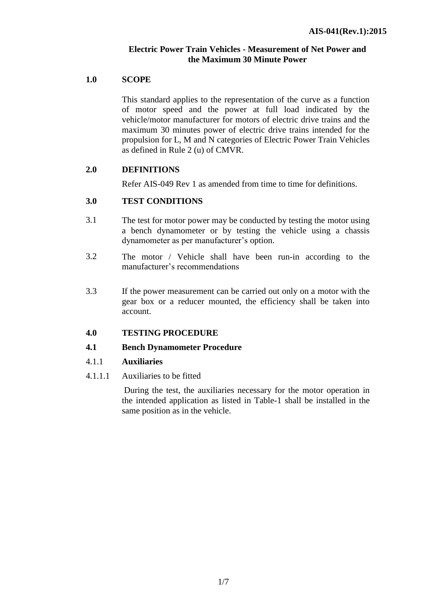### **Electric Power Train Vehicles - Measurement of Net Power and the Maximum 30 Minute Power**

#### **1.0 SCOPE**

This standard applies to the representation of the curve as a function of motor speed and the power at full load indicated by the vehicle/motor manufacturer for motors of electric drive trains and the maximum 30 minutes power of electric drive trains intended for the propulsion for L, M and N categories of Electric Power Train Vehicles as defined in Rule 2 (u) of CMVR.

#### **2.0 DEFINITIONS**

Refer AIS-049 Rev 1 as amended from time to time for definitions.

### **3.0 TEST CONDITIONS**

- 3.1 The test for motor power may be conducted by testing the motor using a bench dynamometer or by testing the vehicle using a chassis dynamometer as per manufacturer's option.
- 3.2 The motor / Vehicle shall have been run-in according to the manufacturer's recommendations
- 3.3 If the power measurement can be carried out only on a motor with the gear box or a reducer mounted, the efficiency shall be taken into account.

#### **4.0 TESTING PROCEDURE**

#### **4.1 Bench Dynamometer Procedure**

- 4.1.1 **Auxiliaries**
- 4.1.1.1 Auxiliaries to be fitted

During the test, the auxiliaries necessary for the motor operation in the intended application as listed in Table-1 shall be installed in the same position as in the vehicle.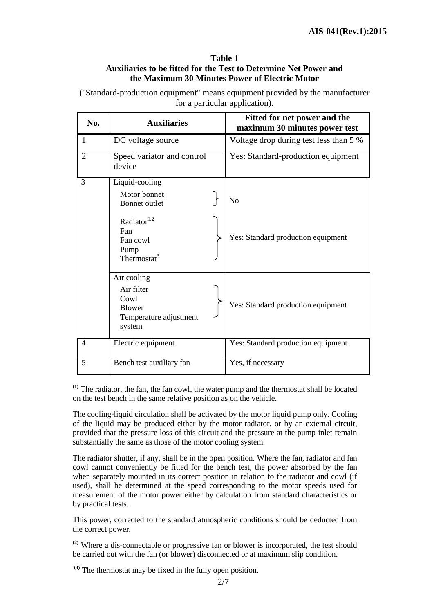#### **Table 1 Auxiliaries to be fitted for the Test to Determine Net Power and the Maximum 30 Minutes Power of Electric Motor**

("Standard-production equipment" means equipment provided by the manufacturer for a particular application).

| No.            | <b>Auxiliaries</b>                                                                     |  | Fitted for net power and the<br>maximum 30 minutes power test |  |
|----------------|----------------------------------------------------------------------------------------|--|---------------------------------------------------------------|--|
| 1              | DC voltage source                                                                      |  | Voltage drop during test less than 5 %                        |  |
| $\overline{2}$ | Speed variator and control<br>device                                                   |  | Yes: Standard-production equipment                            |  |
| 3              | Liquid-cooling<br>Motor bonnet                                                         |  |                                                               |  |
|                | Bonnet outlet                                                                          |  | No                                                            |  |
|                | Radiator $1,2$<br>Fan<br>Fan cowl<br>Pump<br>Thermostat $3$                            |  | Yes: Standard production equipment                            |  |
|                | Air cooling<br>Air filter<br>Cowl<br><b>Blower</b><br>Temperature adjustment<br>system |  | Yes: Standard production equipment                            |  |
| $\overline{4}$ | Electric equipment                                                                     |  | Yes: Standard production equipment                            |  |
| 5              | Bench test auxiliary fan                                                               |  | Yes, if necessary                                             |  |

**(1)** The radiator, the fan, the fan cowl, the water pump and the thermostat shall be located on the test bench in the same relative position as on the vehicle.

The cooling-liquid circulation shall be activated by the motor liquid pump only. Cooling of the liquid may be produced either by the motor radiator, or by an external circuit, provided that the pressure loss of this circuit and the pressure at the pump inlet remain substantially the same as those of the motor cooling system.

The radiator shutter, if any, shall be in the open position. Where the fan, radiator and fan cowl cannot conveniently be fitted for the bench test, the power absorbed by the fan when separately mounted in its correct position in relation to the radiator and cowl (if used), shall be determined at the speed corresponding to the motor speeds used for measurement of the motor power either by calculation from standard characteristics or by practical tests.

This power, corrected to the standard atmospheric conditions should be deducted from the correct power.

**(2)** Where a dis-connectable or progressive fan or blower is incorporated, the test should be carried out with the fan (or blower) disconnected or at maximum slip condition.

**(3)** The thermostat may be fixed in the fully open position.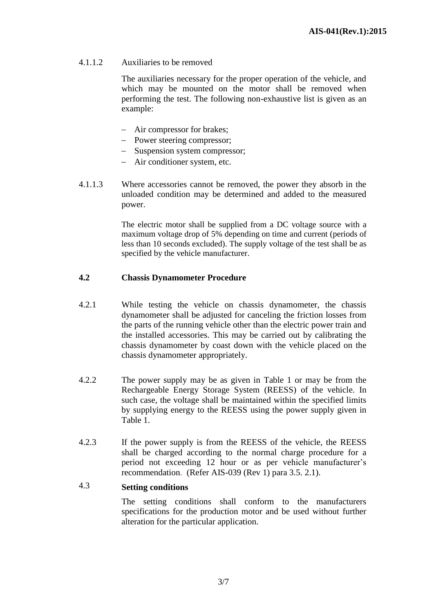4.1.1.2 Auxiliaries to be removed

The auxiliaries necessary for the proper operation of the vehicle, and which may be mounted on the motor shall be removed when performing the test. The following non-exhaustive list is given as an example:

- Air compressor for brakes;
- Power steering compressor;
- Suspension system compressor:
- Air conditioner system, etc.
- 4.1.1.3 Where accessories cannot be removed, the power they absorb in the unloaded condition may be determined and added to the measured power.

The electric motor shall be supplied from a DC voltage source with a maximum voltage drop of 5% depending on time and current (periods of less than 10 seconds excluded). The supply voltage of the test shall be as specified by the vehicle manufacturer.

#### **4.2 Chassis Dynamometer Procedure**

- 4.2.1 While testing the vehicle on chassis dynamometer, the chassis dynamometer shall be adjusted for canceling the friction losses from the parts of the running vehicle other than the electric power train and the installed accessories. This may be carried out by calibrating the chassis dynamometer by coast down with the vehicle placed on the chassis dynamometer appropriately.
- 4.2.2 The power supply may be as given in Table 1 or may be from the Rechargeable Energy Storage System (REESS) of the vehicle. In such case, the voltage shall be maintained within the specified limits by supplying energy to the REESS using the power supply given in Table 1.
- 4.2.3 If the power supply is from the REESS of the vehicle, the REESS shall be charged according to the normal charge procedure for a period not exceeding 12 hour or as per vehicle manufacturer's recommendation. (Refer AIS-039 (Rev 1) para 3.5. 2.1).

#### 4.3 **Setting conditions**

The setting conditions shall conform to the manufacturers specifications for the production motor and be used without further alteration for the particular application.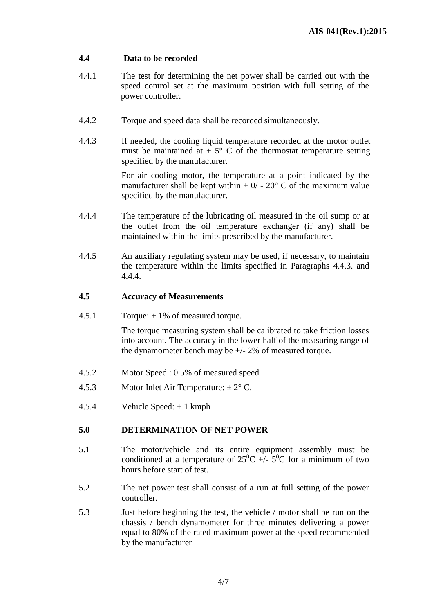### **4.4 Data to be recorded**

- 4.4.1 The test for determining the net power shall be carried out with the speed control set at the maximum position with full setting of the power controller.
- 4.4.2 Torque and speed data shall be recorded simultaneously.
- 4.4.3 If needed, the cooling liquid temperature recorded at the motor outlet must be maintained at  $\pm$  5° C of the thermostat temperature setting specified by the manufacturer.

For air cooling motor, the temperature at a point indicated by the manufacturer shall be kept within  $+ 0/ - 20^{\circ}$  C of the maximum value specified by the manufacturer.

- 4.4.4 The temperature of the lubricating oil measured in the oil sump or at the outlet from the oil temperature exchanger (if any) shall be maintained within the limits prescribed by the manufacturer.
- 4.4.5 An auxiliary regulating system may be used, if necessary, to maintain the temperature within the limits specified in Paragraphs 4.4.3. and 4.4.4.

#### **4.5 Accuracy of Measurements**

4.5.1 Torque:  $\pm$  1% of measured torque.

The torque measuring system shall be calibrated to take friction losses into account. The accuracy in the lower half of the measuring range of the dynamometer bench may be +/- 2% of measured torque.

- 4.5.2 Motor Speed : 0.5% of measured speed
- 4.5.3 Motor Inlet Air Temperature:  $\pm 2^{\circ}$  C.
- 4.5.4 Vehicle Speed: + 1 kmph

### **5.0 DETERMINATION OF NET POWER**

- 5.1 The motor/vehicle and its entire equipment assembly must be conditioned at a temperature of  $25^{\circ}C$  +/-  $5^{\circ}C$  for a minimum of two hours before start of test.
- 5.2 The net power test shall consist of a run at full setting of the power controller.
- 5.3 Just before beginning the test, the vehicle / motor shall be run on the chassis / bench dynamometer for three minutes delivering a power equal to 80% of the rated maximum power at the speed recommended by the manufacturer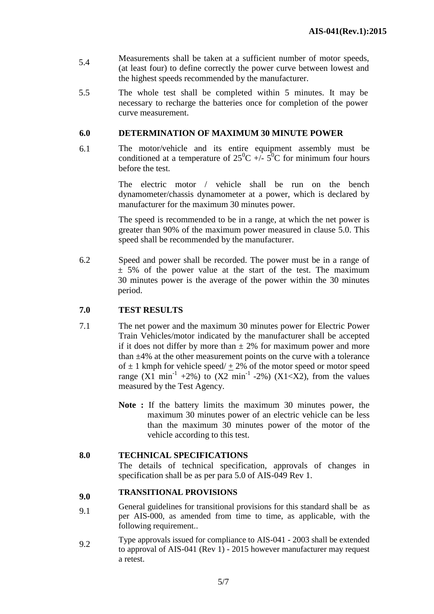- 5.4 Measurements shall be taken at a sufficient number of motor speeds, (at least four) to define correctly the power curve between lowest and the highest speeds recommended by the manufacturer.
- 5.5 The whole test shall be completed within 5 minutes. It may be necessary to recharge the batteries once for completion of the power curve measurement.

#### **6.0 DETERMINATION OF MAXIMUM 30 MINUTE POWER**

6.1 The motor/vehicle and its entire equipment assembly must be conditioned at a temperature of  $25^0C +1.5^0C$  for minimum four hours before the test.

> The electric motor / vehicle shall be run on the bench dynamometer/chassis dynamometer at a power, which is declared by manufacturer for the maximum 30 minutes power.

> The speed is recommended to be in a range, at which the net power is greater than 90% of the maximum power measured in clause 5.0. This speed shall be recommended by the manufacturer.

6.2 Speed and power shall be recorded. The power must be in a range of  $\pm$  5% of the power value at the start of the test. The maximum 30 minutes power is the average of the power within the 30 minutes period.

#### **7.0 TEST RESULTS**

- 7.1 The net power and the maximum 30 minutes power for Electric Power Train Vehicles/motor indicated by the manufacturer shall be accepted if it does not differ by more than  $\pm$  2% for maximum power and more than  $\pm$ 4% at the other measurement points on the curve with a tolerance of  $\pm$  1 kmph for vehicle speed/ + 2% of the motor speed or motor speed range  $(X1 \text{ min}^{-1} + 2\%)$  to  $(X2 \text{ min}^{-1} - 2\%)$   $(X1 < X2)$ , from the values measured by the Test Agency.
	- **Note :** If the battery limits the maximum 30 minutes power, the maximum 30 minutes power of an electric vehicle can be less than the maximum 30 minutes power of the motor of the vehicle according to this test.

#### **8.0 TECHNICAL SPECIFICATIONS**

The details of technical specification, approvals of changes in specification shall be as per para 5.0 of AIS-049 Rev 1.

# **9.0 TRANSITIONAL PROVISIONS**

- 9.1 General guidelines for transitional provisions for this standard shall be as per AIS-000, as amended from time to time, as applicable, with the following requirement..
- 9.2 Type approvals issued for compliance to AIS-041 2003 shall be extended to approval of AIS-041 (Rev 1) - 2015 however manufacturer may request a retest.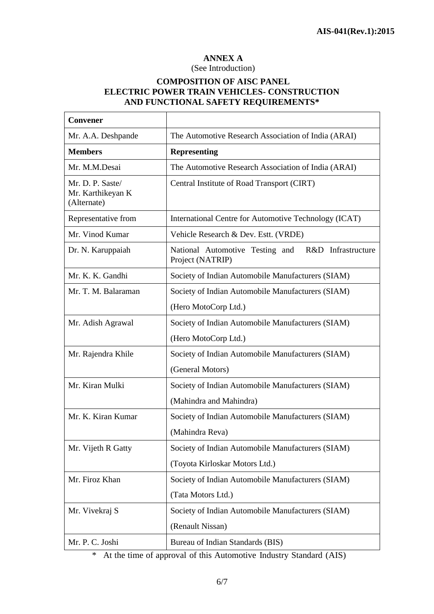٦

# **ANNEX A**

#### (See Introduction)

#### **COMPOSITION OF AISC PANEL ELECTRIC POWER TRAIN VEHICLES- CONSTRUCTION AND FUNCTIONAL SAFETY REQUIREMENTS\***

 $\overline{\phantom{a}}$ 

 $\mathsf{r}$ 

| <b>Convener</b>                                      |                                                                           |  |  |
|------------------------------------------------------|---------------------------------------------------------------------------|--|--|
| Mr. A.A. Deshpande                                   | The Automotive Research Association of India (ARAI)                       |  |  |
| <b>Members</b>                                       | <b>Representing</b>                                                       |  |  |
| Mr. M.M.Desai                                        | The Automotive Research Association of India (ARAI)                       |  |  |
| Mr. D. P. Saste/<br>Mr. Karthikeyan K<br>(Alternate) | Central Institute of Road Transport (CIRT)                                |  |  |
| Representative from                                  | International Centre for Automotive Technology (ICAT)                     |  |  |
| Mr. Vinod Kumar                                      | Vehicle Research & Dev. Estt. (VRDE)                                      |  |  |
| Dr. N. Karuppaiah                                    | National Automotive Testing and<br>R&D Infrastructure<br>Project (NATRIP) |  |  |
| Mr. K. K. Gandhi                                     | Society of Indian Automobile Manufacturers (SIAM)                         |  |  |
| Mr. T. M. Balaraman                                  | Society of Indian Automobile Manufacturers (SIAM)                         |  |  |
|                                                      | (Hero MotoCorp Ltd.)                                                      |  |  |
| Mr. Adish Agrawal                                    | Society of Indian Automobile Manufacturers (SIAM)                         |  |  |
|                                                      | (Hero MotoCorp Ltd.)                                                      |  |  |
| Mr. Rajendra Khile                                   | Society of Indian Automobile Manufacturers (SIAM)                         |  |  |
|                                                      | (General Motors)                                                          |  |  |
| Mr. Kiran Mulki                                      | Society of Indian Automobile Manufacturers (SIAM)                         |  |  |
|                                                      | (Mahindra and Mahindra)                                                   |  |  |
| Mr. K. Kiran Kumar                                   | Society of Indian Automobile Manufacturers (SIAM)                         |  |  |
|                                                      | (Mahindra Reva)                                                           |  |  |
| Mr. Vijeth R Gatty                                   | Society of Indian Automobile Manufacturers (SIAM)                         |  |  |
|                                                      | (Toyota Kirloskar Motors Ltd.)                                            |  |  |
| Mr. Firoz Khan                                       | Society of Indian Automobile Manufacturers (SIAM)                         |  |  |
|                                                      | (Tata Motors Ltd.)                                                        |  |  |
| Mr. Vivekraj S                                       | Society of Indian Automobile Manufacturers (SIAM)                         |  |  |
|                                                      | (Renault Nissan)                                                          |  |  |
| Mr. P. C. Joshi                                      | Bureau of Indian Standards (BIS)                                          |  |  |

\* At the time of approval of this Automotive Industry Standard (AIS)